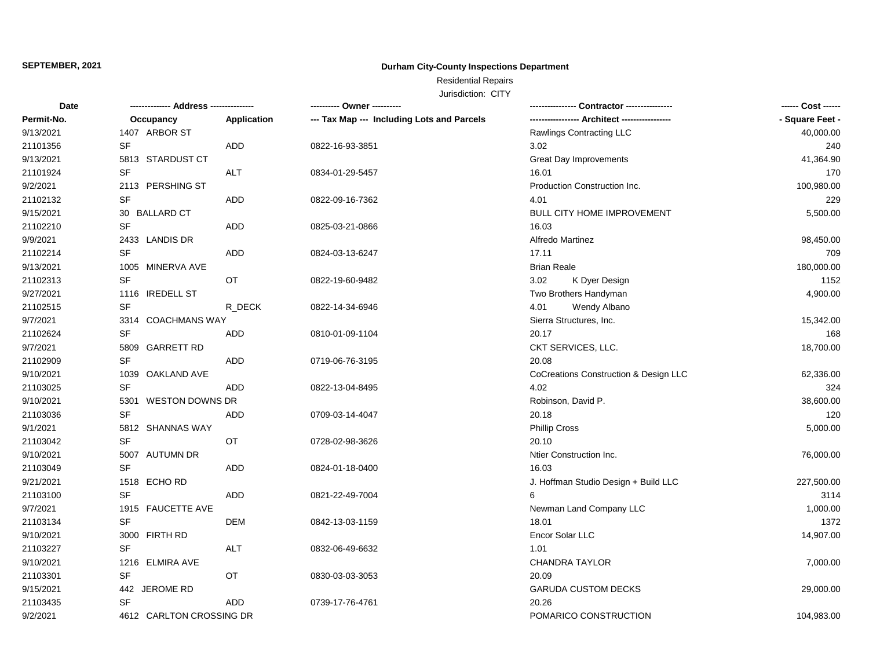## **Durham City-County Inspections Department**

# Residential Repairs

| Date       |                          |             | ---------- Owner ----------                |                                       | ------ Cost ------ |
|------------|--------------------------|-------------|--------------------------------------------|---------------------------------------|--------------------|
| Permit-No. | Occupancy                | Application | --- Tax Map --- Including Lots and Parcels |                                       | - Square Feet -    |
| 9/13/2021  | 1407 ARBOR ST            |             |                                            | Rawlings Contracting LLC              | 40,000.00          |
| 21101356   | <b>SF</b>                | ADD         | 0822-16-93-3851                            | 3.02                                  | 240                |
| 9/13/2021  | 5813 STARDUST CT         |             |                                            | <b>Great Day Improvements</b>         | 41,364.90          |
| 21101924   | SF                       | ALT         | 0834-01-29-5457                            | 16.01                                 | 170                |
| 9/2/2021   | 2113 PERSHING ST         |             |                                            | Production Construction Inc.          | 100,980.00         |
| 21102132   | SF                       | ADD         | 0822-09-16-7362                            | 4.01                                  | 229                |
| 9/15/2021  | 30 BALLARD CT            |             |                                            | BULL CITY HOME IMPROVEMENT            | 5,500.00           |
| 21102210   | SF                       | ADD         | 0825-03-21-0866                            | 16.03                                 |                    |
| 9/9/2021   | 2433 LANDIS DR           |             |                                            | <b>Alfredo Martinez</b>               | 98,450.00          |
| 21102214   | <b>SF</b>                | ADD         | 0824-03-13-6247                            | 17.11                                 | 709                |
| 9/13/2021  | 1005 MINERVA AVE         |             |                                            | <b>Brian Reale</b>                    | 180,000.00         |
| 21102313   | <b>SF</b>                | OT          | 0822-19-60-9482                            | 3.02<br>K Dyer Design                 | 1152               |
| 9/27/2021  | 1116 IREDELL ST          |             |                                            | Two Brothers Handyman                 | 4,900.00           |
| 21102515   | SF                       | R_DECK      | 0822-14-34-6946                            | Wendy Albano<br>4.01                  |                    |
| 9/7/2021   | 3314 COACHMANS WAY       |             |                                            | Sierra Structures, Inc.               | 15,342.00          |
| 21102624   | <b>SF</b>                | ADD         | 0810-01-09-1104                            | 20.17                                 | 168                |
| 9/7/2021   | 5809 GARRETT RD          |             |                                            | CKT SERVICES, LLC.                    | 18,700.00          |
| 21102909   | <b>SF</b>                | ADD         | 0719-06-76-3195                            | 20.08                                 |                    |
| 9/10/2021  | 1039 OAKLAND AVE         |             |                                            | CoCreations Construction & Design LLC | 62,336.00          |
| 21103025   | <b>SF</b>                | <b>ADD</b>  | 0822-13-04-8495                            | 4.02                                  | 324                |
| 9/10/2021  | 5301 WESTON DOWNS DR     |             |                                            | Robinson, David P.                    | 38,600.00          |
| 21103036   | <b>SF</b>                | ADD         | 0709-03-14-4047                            | 20.18                                 | 120                |
| 9/1/2021   | 5812 SHANNAS WAY         |             |                                            | <b>Phillip Cross</b>                  | 5,000.00           |
| 21103042   | <b>SF</b>                | OT          | 0728-02-98-3626                            | 20.10                                 |                    |
| 9/10/2021  | 5007 AUTUMN DR           |             |                                            | Ntier Construction Inc.               | 76,000.00          |
| 21103049   | <b>SF</b>                | ADD         | 0824-01-18-0400                            | 16.03                                 |                    |
| 9/21/2021  | 1518 ECHORD              |             |                                            | J. Hoffman Studio Design + Build LLC  | 227,500.00         |
| 21103100   | <b>SF</b>                | ADD         | 0821-22-49-7004                            | 6                                     | 3114               |
| 9/7/2021   | 1915 FAUCETTE AVE        |             |                                            | Newman Land Company LLC               | 1,000.00           |
| 21103134   | <b>SF</b>                | <b>DEM</b>  | 0842-13-03-1159                            | 18.01                                 | 1372               |
| 9/10/2021  | 3000 FIRTH RD            |             |                                            | Encor Solar LLC                       | 14,907.00          |
| 21103227   | <b>SF</b>                | ALT         | 0832-06-49-6632                            | 1.01                                  |                    |
| 9/10/2021  | 1216 ELMIRA AVE          |             |                                            | <b>CHANDRA TAYLOR</b>                 | 7,000.00           |
| 21103301   | SF                       | OT          | 0830-03-03-3053                            | 20.09                                 |                    |
| 9/15/2021  | 442 JEROME RD            |             |                                            | <b>GARUDA CUSTOM DECKS</b>            | 29,000.00          |
| 21103435   | SF                       | <b>ADD</b>  | 0739-17-76-4761                            | 20.26                                 |                    |
| 9/2/2021   | 4612 CARLTON CROSSING DR |             |                                            | POMARICO CONSTRUCTION                 | 104,983.00         |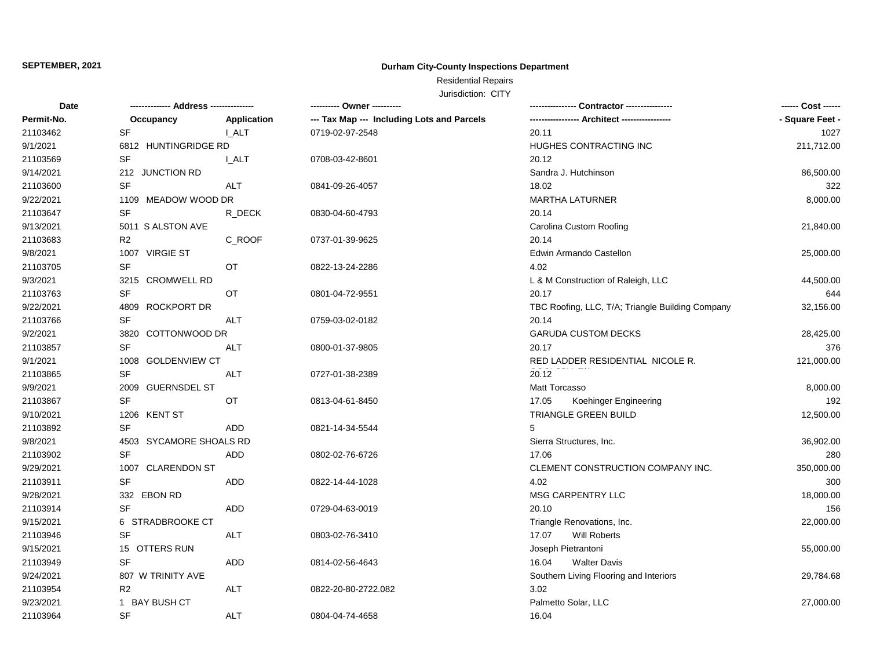## **Durham City-County Inspections Department**

# Residential Repairs

| Date       |                         |              | ---------- Owner ----------                |                                                  | ------ Cost ------ |
|------------|-------------------------|--------------|--------------------------------------------|--------------------------------------------------|--------------------|
| Permit-No. | Occupancy               | Application  | --- Tax Map --- Including Lots and Parcels |                                                  | - Square Feet -    |
| 21103462   | <b>SF</b>               | I ALT        | 0719-02-97-2548                            | 20.11                                            | 1027               |
| 9/1/2021   | 6812 HUNTINGRIDGE RD    |              |                                            | HUGHES CONTRACTING INC                           | 211,712.00         |
| 21103569   | SF                      | <b>L_ALT</b> | 0708-03-42-8601                            | 20.12                                            |                    |
| 9/14/2021  | 212 JUNCTION RD         |              |                                            | Sandra J. Hutchinson                             | 86,500.00          |
| 21103600   | <b>SF</b>               | <b>ALT</b>   | 0841-09-26-4057                            | 18.02                                            | 322                |
| 9/22/2021  | 1109 MEADOW WOOD DR     |              |                                            | <b>MARTHA LATURNER</b>                           | 8,000.00           |
| 21103647   | SF                      | R_DECK       | 0830-04-60-4793                            | 20.14                                            |                    |
| 9/13/2021  | 5011 S ALSTON AVE       |              |                                            | Carolina Custom Roofing                          | 21,840.00          |
| 21103683   | R <sub>2</sub>          | C_ROOF       | 0737-01-39-9625                            | 20.14                                            |                    |
| 9/8/2021   | 1007 VIRGIE ST          |              |                                            | Edwin Armando Castellon                          | 25,000.00          |
| 21103705   | SF                      | OT           | 0822-13-24-2286                            | 4.02                                             |                    |
| 9/3/2021   | 3215 CROMWELL RD        |              |                                            | L & M Construction of Raleigh, LLC               | 44,500.00          |
| 21103763   | <b>SF</b>               | ОT           | 0801-04-72-9551                            | 20.17                                            | 644                |
| 9/22/2021  | 4809 ROCKPORT DR        |              |                                            | TBC Roofing, LLC, T/A; Triangle Building Company | 32,156.00          |
| 21103766   | SF                      | ALT          | 0759-03-02-0182                            | 20.14                                            |                    |
| 9/2/2021   | 3820 COTTONWOOD DR      |              |                                            | <b>GARUDA CUSTOM DECKS</b>                       | 28,425.00          |
| 21103857   | <b>SF</b>               | ALT          | 0800-01-37-9805                            | 20.17                                            | 376                |
| 9/1/2021   | 1008 GOLDENVIEW CT      |              |                                            | RED LADDER RESIDENTIAL NICOLE R.                 | 121,000.00         |
| 21103865   | SF                      | <b>ALT</b>   | 0727-01-38-2389                            | 20.12                                            |                    |
| 9/9/2021   | 2009 GUERNSDEL ST       |              |                                            | Matt Torcasso                                    | 8,000.00           |
| 21103867   | <b>SF</b>               | OT           | 0813-04-61-8450                            | 17.05<br>Koehinger Engineering                   | 192                |
| 9/10/2021  | 1206 KENT ST            |              |                                            | TRIANGLE GREEN BUILD                             | 12,500.00          |
| 21103892   | <b>SF</b>               | ADD          | 0821-14-34-5544                            | 5                                                |                    |
| 9/8/2021   | 4503 SYCAMORE SHOALS RD |              |                                            | Sierra Structures, Inc.                          | 36,902.00          |
| 21103902   | <b>SF</b>               | ADD          | 0802-02-76-6726                            | 17.06                                            | 280                |
| 9/29/2021  | 1007 CLARENDON ST       |              |                                            | CLEMENT CONSTRUCTION COMPANY INC.                | 350,000.00         |
| 21103911   | <b>SF</b>               | ADD          | 0822-14-44-1028                            | 4.02                                             | 300                |
| 9/28/2021  | 332 EBON RD             |              |                                            | MSG CARPENTRY LLC                                | 18,000.00          |
| 21103914   | <b>SF</b>               | ADD          | 0729-04-63-0019                            | 20.10                                            | 156                |
| 9/15/2021  | 6 STRADBROOKE CT        |              |                                            | Triangle Renovations, Inc.                       | 22,000.00          |
| 21103946   | <b>SF</b>               | ALT          | 0803-02-76-3410                            | Will Roberts<br>17.07                            |                    |
| 9/15/2021  | 15 OTTERS RUN           |              |                                            | Joseph Pietrantoni                               | 55,000.00          |
| 21103949   | <b>SF</b>               | ADD          | 0814-02-56-4643                            | <b>Walter Davis</b><br>16.04                     |                    |
| 9/24/2021  | 807 W TRINITY AVE       |              |                                            | Southern Living Flooring and Interiors           | 29,784.68          |
| 21103954   | R <sub>2</sub>          | ALT          | 0822-20-80-2722.082                        | 3.02                                             |                    |
| 9/23/2021  | 1 BAY BUSH CT           |              |                                            | Palmetto Solar, LLC                              | 27,000.00          |
| 21103964   | SF                      | <b>ALT</b>   | 0804-04-74-4658                            | 16.04                                            |                    |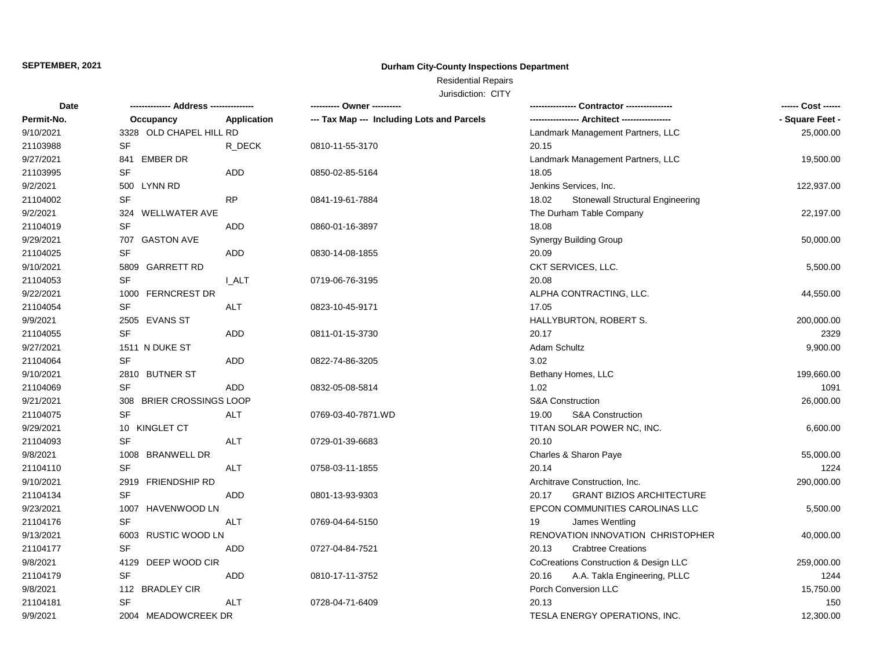## **Durham City-County Inspections Department**

# Residential Repairs

| <b>Date</b> |                          |                    |                                            |                                           | ------ Cost ------ |
|-------------|--------------------------|--------------------|--------------------------------------------|-------------------------------------------|--------------------|
| Permit-No.  | Occupancy                | <b>Application</b> | --- Tax Map --- Including Lots and Parcels |                                           | - Square Feet -    |
| 9/10/2021   | 3328 OLD CHAPEL HILL RD  |                    |                                            | Landmark Management Partners, LLC         | 25,000.00          |
| 21103988    | SF                       | R_DECK             | 0810-11-55-3170                            | 20.15                                     |                    |
| 9/27/2021   | 841 EMBER DR             |                    |                                            | Landmark Management Partners, LLC         | 19,500.00          |
| 21103995    | <b>SF</b>                | ADD                | 0850-02-85-5164                            | 18.05                                     |                    |
| 9/2/2021    | 500 LYNN RD              |                    |                                            | Jenkins Services, Inc.                    | 122,937.00         |
| 21104002    | <b>SF</b>                | <b>RP</b>          | 0841-19-61-7884                            | Stonewall Structural Engineering<br>18.02 |                    |
| 9/2/2021    | 324 WELLWATER AVE        |                    |                                            | The Durham Table Company                  | 22,197.00          |
| 21104019    | SF                       | ADD                | 0860-01-16-3897                            | 18.08                                     |                    |
| 9/29/2021   | 707 GASTON AVE           |                    |                                            | <b>Synergy Building Group</b>             | 50,000.00          |
| 21104025    | SF                       | ADD                | 0830-14-08-1855                            | 20.09                                     |                    |
| 9/10/2021   | 5809 GARRETT RD          |                    |                                            | CKT SERVICES, LLC.                        | 5,500.00           |
| 21104053    | <b>SF</b>                | <b>I_ALT</b>       | 0719-06-76-3195                            | 20.08                                     |                    |
| 9/22/2021   | 1000 FERNCREST DR        |                    |                                            | ALPHA CONTRACTING, LLC.                   | 44,550.00          |
| 21104054    | SF                       | ALT                | 0823-10-45-9171                            | 17.05                                     |                    |
| 9/9/2021    | 2505 EVANS ST            |                    |                                            | HALLYBURTON, ROBERT S.                    | 200,000.00         |
| 21104055    | <b>SF</b>                | ADD                | 0811-01-15-3730                            | 20.17                                     | 2329               |
| 9/27/2021   | 1511 N DUKE ST           |                    |                                            | Adam Schultz                              | 9,900.00           |
| 21104064    | <b>SF</b>                | ADD                | 0822-74-86-3205                            | 3.02                                      |                    |
| 9/10/2021   | 2810 BUTNER ST           |                    |                                            | Bethany Homes, LLC                        | 199,660.00         |
| 21104069    | <b>SF</b>                | ADD                | 0832-05-08-5814                            | 1.02                                      | 1091               |
| 9/21/2021   | 308 BRIER CROSSINGS LOOP |                    |                                            | S&A Construction                          | 26,000.00          |
| 21104075    | <b>SF</b>                | <b>ALT</b>         | 0769-03-40-7871.WD                         | 19.00<br><b>S&amp;A Construction</b>      |                    |
| 9/29/2021   | 10 KINGLET CT            |                    |                                            | TITAN SOLAR POWER NC, INC.                | 6,600.00           |
| 21104093    | <b>SF</b>                | ALT                | 0729-01-39-6683                            | 20.10                                     |                    |
| 9/8/2021    | 1008 BRANWELL DR         |                    |                                            | Charles & Sharon Paye                     | 55,000.00          |
| 21104110    | <b>SF</b>                | <b>ALT</b>         | 0758-03-11-1855                            | 20.14                                     | 1224               |
| 9/10/2021   | 2919 FRIENDSHIP RD       |                    |                                            | Architrave Construction, Inc.             | 290,000.00         |
| 21104134    | <b>SF</b>                | <b>ADD</b>         | 0801-13-93-9303                            | 20.17<br><b>GRANT BIZIOS ARCHITECTURE</b> |                    |
| 9/23/2021   | 1007 HAVENWOOD LN        |                    |                                            | EPCON COMMUNITIES CAROLINAS LLC           | 5,500.00           |
| 21104176    | <b>SF</b>                | ALT                | 0769-04-64-5150                            | 19<br>James Wentling                      |                    |
| 9/13/2021   | 6003 RUSTIC WOOD LN      |                    |                                            | RENOVATION INNOVATION CHRISTOPHER         | 40,000.00          |
| 21104177    | SF                       | ADD                | 0727-04-84-7521                            | 20.13<br><b>Crabtree Creations</b>        |                    |
| 9/8/2021    | 4129 DEEP WOOD CIR       |                    |                                            | CoCreations Construction & Design LLC     | 259,000.00         |
| 21104179    | <b>SF</b>                | ADD                | 0810-17-11-3752                            | A.A. Takla Engineering, PLLC<br>20.16     | 1244               |
| 9/8/2021    | 112 BRADLEY CIR          |                    |                                            | Porch Conversion LLC                      | 15,750.00          |
| 21104181    | <b>SF</b>                | <b>ALT</b>         | 0728-04-71-6409                            | 20.13                                     | 150                |
| 9/9/2021    | 2004 MEADOWCREEK DR      |                    |                                            | <b>TESLA ENERGY OPERATIONS, INC.</b>      | 12,300.00          |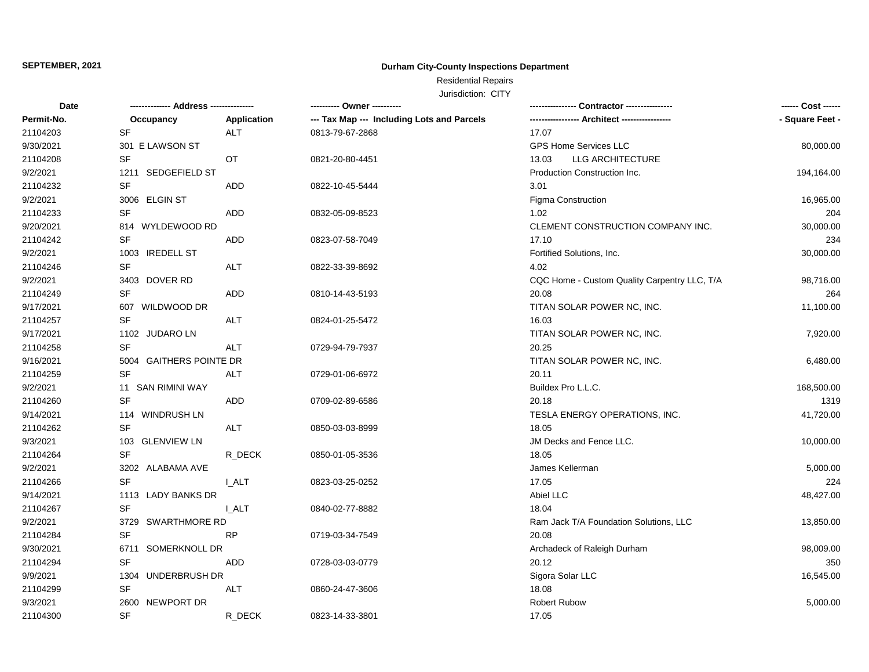## **Durham City-County Inspections Department**

# Residential Repairs

| <b>Date</b> |                         |              |                                            |                                              | ------ Cost ------ |
|-------------|-------------------------|--------------|--------------------------------------------|----------------------------------------------|--------------------|
| Permit-No.  | Occupancy               | Application  | --- Tax Map --- Including Lots and Parcels | --- Architect -------------                  | - Square Feet -    |
| 21104203    | <b>SF</b>               | <b>ALT</b>   | 0813-79-67-2868                            | 17.07                                        |                    |
| 9/30/2021   | 301 E LAWSON ST         |              |                                            | <b>GPS Home Services LLC</b>                 | 80,000.00          |
| 21104208    | <b>SF</b>               | OT           | 0821-20-80-4451                            | 13.03<br>LLG ARCHITECTURE                    |                    |
| 9/2/2021    | 1211 SEDGEFIELD ST      |              |                                            | Production Construction Inc.                 | 194,164.00         |
| 21104232    | SF                      | ADD          | 0822-10-45-5444                            | 3.01                                         |                    |
| 9/2/2021    | 3006 ELGIN ST           |              |                                            | Figma Construction                           | 16,965.00          |
| 21104233    | <b>SF</b>               | ADD          | 0832-05-09-8523                            | 1.02                                         | 204                |
| 9/20/2021   | 814 WYLDEWOOD RD        |              |                                            | CLEMENT CONSTRUCTION COMPANY INC.            | 30,000.00          |
| 21104242    | SF                      | ADD          | 0823-07-58-7049                            | 17.10                                        | 234                |
| 9/2/2021    | 1003 IREDELL ST         |              |                                            | Fortified Solutions, Inc.                    | 30,000.00          |
| 21104246    | <b>SF</b>               | ALT          | 0822-33-39-8692                            | 4.02                                         |                    |
| 9/2/2021    | 3403 DOVER RD           |              |                                            | CQC Home - Custom Quality Carpentry LLC, T/A | 98,716.00          |
| 21104249    | <b>SF</b>               | <b>ADD</b>   | 0810-14-43-5193                            | 20.08                                        | 264                |
| 9/17/2021   | 607 WILDWOOD DR         |              |                                            | TITAN SOLAR POWER NC, INC.                   | 11,100.00          |
| 21104257    | <b>SF</b>               | <b>ALT</b>   | 0824-01-25-5472                            | 16.03                                        |                    |
| 9/17/2021   | 1102 JUDARO LN          |              |                                            | TITAN SOLAR POWER NC, INC.                   | 7,920.00           |
| 21104258    | <b>SF</b>               | <b>ALT</b>   | 0729-94-79-7937                            | 20.25                                        |                    |
| 9/16/2021   | 5004 GAITHERS POINTE DR |              |                                            | TITAN SOLAR POWER NC, INC.                   | 6,480.00           |
| 21104259    | <b>SF</b>               | <b>ALT</b>   | 0729-01-06-6972                            | 20.11                                        |                    |
| 9/2/2021    | 11 SAN RIMINI WAY       |              |                                            | Buildex Pro L.L.C.                           | 168,500.00         |
| 21104260    | <b>SF</b>               | ADD          | 0709-02-89-6586                            | 20.18                                        | 1319               |
| 9/14/2021   | 114 WINDRUSH LN         |              |                                            | TESLA ENERGY OPERATIONS, INC.                | 41,720.00          |
| 21104262    | <b>SF</b>               | ALT          | 0850-03-03-8999                            | 18.05                                        |                    |
| 9/3/2021    | 103 GLENVIEW LN         |              |                                            | JM Decks and Fence LLC.                      | 10,000.00          |
| 21104264    | <b>SF</b>               | R DECK       | 0850-01-05-3536                            | 18.05                                        |                    |
| 9/2/2021    | 3202 ALABAMA AVE        |              |                                            | James Kellerman                              | 5,000.00           |
| 21104266    | <b>SF</b>               | <b>L_ALT</b> | 0823-03-25-0252                            | 17.05                                        | 224                |
| 9/14/2021   | 1113 LADY BANKS DR      |              |                                            | Abiel LLC                                    | 48,427.00          |
| 21104267    | <b>SF</b>               | I ALT        | 0840-02-77-8882                            | 18.04                                        |                    |
| 9/2/2021    | 3729<br>SWARTHMORE RD   |              |                                            | Ram Jack T/A Foundation Solutions, LLC       | 13,850.00          |
| 21104284    | <b>SF</b>               | <b>RP</b>    | 0719-03-34-7549                            | 20.08                                        |                    |
| 9/30/2021   | 6711 SOMERKNOLL DR      |              |                                            | Archadeck of Raleigh Durham                  | 98,009.00          |
| 21104294    | <b>SF</b>               | ADD          | 0728-03-03-0779                            | 20.12                                        | 350                |
| 9/9/2021    | UNDERBRUSH DR<br>1304   |              |                                            | Sigora Solar LLC                             | 16,545.00          |
| 21104299    | <b>SF</b>               | ALT          | 0860-24-47-3606                            | 18.08                                        |                    |
| 9/3/2021    | 2600<br>NEWPORT DR      |              |                                            | <b>Robert Rubow</b>                          | 5,000.00           |
| 21104300    | <b>SF</b>               | R DECK       | 0823-14-33-3801                            | 17.05                                        |                    |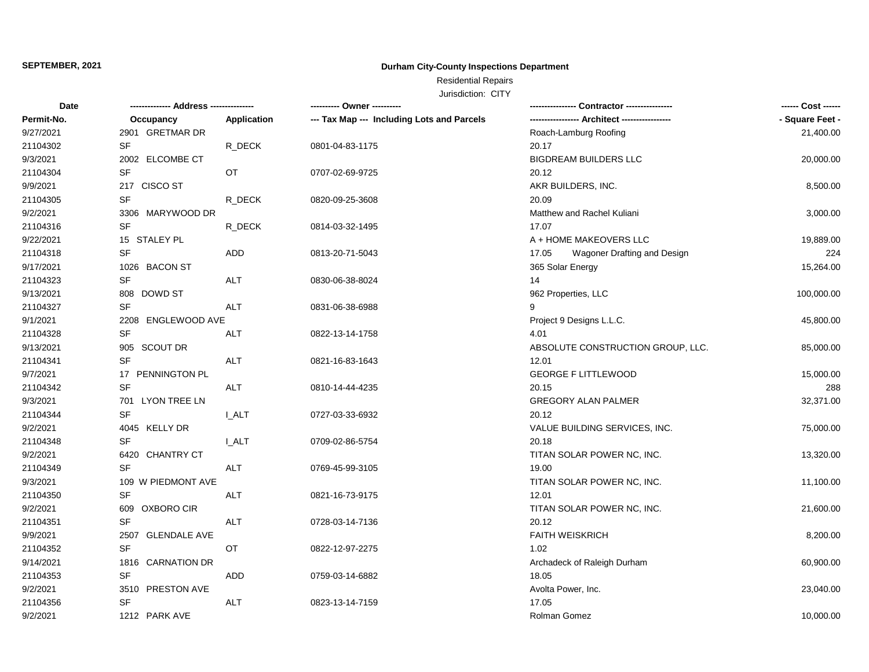## **Durham City-County Inspections Department**

# Residential Repairs

| <b>Date</b> |                    |              | ---------- Owner ----------                |                                               | ------ Cost ------ |
|-------------|--------------------|--------------|--------------------------------------------|-----------------------------------------------|--------------------|
| Permit-No.  | Occupancy          | Application  | --- Tax Map --- Including Lots and Parcels | ----------------- Architect ----------------- | - Square Feet -    |
| 9/27/2021   | 2901 GRETMAR DR    |              |                                            | Roach-Lamburg Roofing                         | 21,400.00          |
| 21104302    | <b>SF</b>          | R_DECK       | 0801-04-83-1175                            | 20.17                                         |                    |
| 9/3/2021    | 2002 ELCOMBE CT    |              |                                            | <b>BIGDREAM BUILDERS LLC</b>                  | 20,000.00          |
| 21104304    | <b>SF</b>          | OT           | 0707-02-69-9725                            | 20.12                                         |                    |
| 9/9/2021    | 217 CISCO ST       |              |                                            | AKR BUILDERS, INC.                            | 8,500.00           |
| 21104305    | SF                 | R_DECK       | 0820-09-25-3608                            | 20.09                                         |                    |
| 9/2/2021    | 3306 MARYWOOD DR   |              |                                            | Matthew and Rachel Kuliani                    | 3,000.00           |
| 21104316    | <b>SF</b>          | R DECK       | 0814-03-32-1495                            | 17.07                                         |                    |
| 9/22/2021   | 15 STALEY PL       |              |                                            | A + HOME MAKEOVERS LLC                        | 19,889.00          |
| 21104318    | SF                 | ADD          | 0813-20-71-5043                            | 17.05<br>Wagoner Drafting and Design          | 224                |
| 9/17/2021   | 1026 BACON ST      |              |                                            | 365 Solar Energy                              | 15,264.00          |
| 21104323    | <b>SF</b>          | <b>ALT</b>   | 0830-06-38-8024                            | 14                                            |                    |
| 9/13/2021   | 808 DOWD ST        |              |                                            | 962 Properties, LLC                           | 100,000.00         |
| 21104327    | <b>SF</b>          | <b>ALT</b>   | 0831-06-38-6988                            | 9                                             |                    |
| 9/1/2021    | 2208 ENGLEWOOD AVE |              |                                            | Project 9 Designs L.L.C.                      | 45,800.00          |
| 21104328    | SF                 | ALT          | 0822-13-14-1758                            | 4.01                                          |                    |
| 9/13/2021   | 905 SCOUT DR       |              |                                            | ABSOLUTE CONSTRUCTION GROUP, LLC.             | 85,000.00          |
| 21104341    | <b>SF</b>          | <b>ALT</b>   | 0821-16-83-1643                            | 12.01                                         |                    |
| 9/7/2021    | 17 PENNINGTON PL   |              |                                            | <b>GEORGE F LITTLEWOOD</b>                    | 15,000.00          |
| 21104342    | <b>SF</b>          | <b>ALT</b>   | 0810-14-44-4235                            | 20.15                                         | 288                |
| 9/3/2021    | 701 LYON TREE LN   |              |                                            | <b>GREGORY ALAN PALMER</b>                    | 32,371.00          |
| 21104344    | SF                 | <b>I_ALT</b> | 0727-03-33-6932                            | 20.12                                         |                    |
| 9/2/2021    | 4045 KELLY DR      |              |                                            | VALUE BUILDING SERVICES, INC.                 | 75,000.00          |
| 21104348    | <b>SF</b>          | <b>I_ALT</b> | 0709-02-86-5754                            | 20.18                                         |                    |
| 9/2/2021    | 6420 CHANTRY CT    |              |                                            | TITAN SOLAR POWER NC, INC.                    | 13,320.00          |
| 21104349    | <b>SF</b>          | <b>ALT</b>   | 0769-45-99-3105                            | 19.00                                         |                    |
| 9/3/2021    | 109 W PIEDMONT AVE |              |                                            | TITAN SOLAR POWER NC, INC.                    | 11,100.00          |
| 21104350    | <b>SF</b>          | ALT          | 0821-16-73-9175                            | 12.01                                         |                    |
| 9/2/2021    | 609 OXBORO CIR     |              |                                            | TITAN SOLAR POWER NC, INC.                    | 21,600.00          |
| 21104351    | SF                 | <b>ALT</b>   | 0728-03-14-7136                            | 20.12                                         |                    |
| 9/9/2021    | 2507 GLENDALE AVE  |              |                                            | <b>FAITH WEISKRICH</b>                        | 8,200.00           |
| 21104352    | <b>SF</b>          | OT           | 0822-12-97-2275                            | 1.02                                          |                    |
| 9/14/2021   | 1816 CARNATION DR  |              |                                            | Archadeck of Raleigh Durham                   | 60,900.00          |
| 21104353    | <b>SF</b>          | ADD          | 0759-03-14-6882                            | 18.05                                         |                    |
| 9/2/2021    | 3510 PRESTON AVE   |              |                                            | Avolta Power, Inc.                            | 23,040.00          |
| 21104356    | <b>SF</b>          | ALT          | 0823-13-14-7159                            | 17.05                                         |                    |
| 9/2/2021    | 1212 PARK AVE      |              |                                            | Rolman Gomez                                  | 10,000.00          |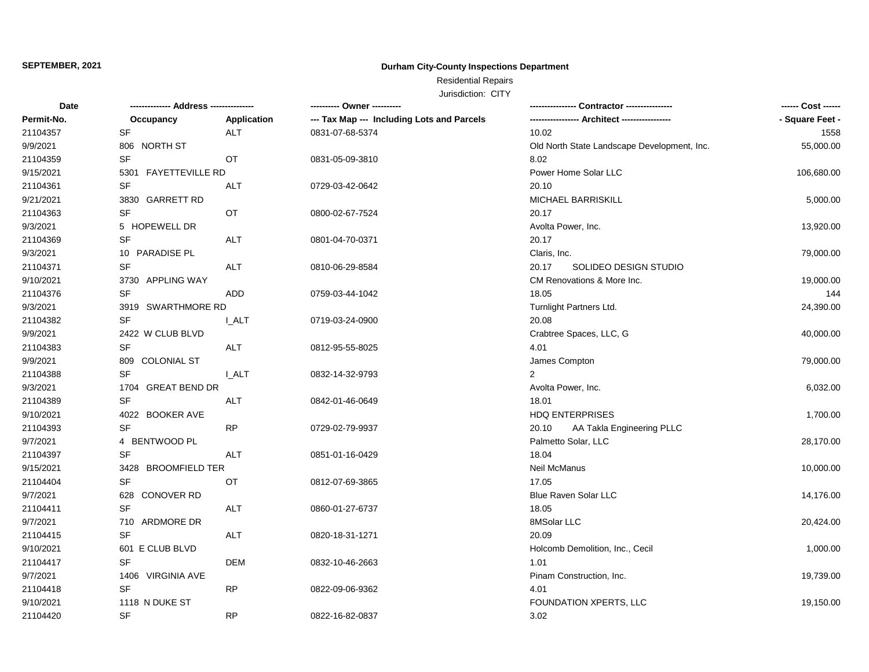## **Durham City-County Inspections Department**

# Residential Repairs

| Date       | -------------- Address --------------- |              |                                            | - Contractor ----------------               | ------ Cost ------ |
|------------|----------------------------------------|--------------|--------------------------------------------|---------------------------------------------|--------------------|
| Permit-No. | Occupancy                              | Application  | --- Tax Map --- Including Lots and Parcels | ---------------- Architect ---------------- | - Square Feet -    |
| 21104357   | <b>SF</b>                              | <b>ALT</b>   | 0831-07-68-5374                            | 10.02                                       | 1558               |
| 9/9/2021   | 806 NORTH ST                           |              |                                            | Old North State Landscape Development, Inc. | 55,000.00          |
| 21104359   | <b>SF</b>                              | OT.          | 0831-05-09-3810                            | 8.02                                        |                    |
| 9/15/2021  | 5301<br><b>FAYETTEVILLE RD</b>         |              |                                            | Power Home Solar LLC                        | 106,680.00         |
| 21104361   | <b>SF</b>                              | <b>ALT</b>   | 0729-03-42-0642                            | 20.10                                       |                    |
| 9/21/2021  | 3830<br>GARRETT RD                     |              |                                            | MICHAEL BARRISKILL                          | 5,000.00           |
| 21104363   | <b>SF</b>                              | OT           | 0800-02-67-7524                            | 20.17                                       |                    |
| 9/3/2021   | 5 HOPEWELL DR                          |              |                                            | Avolta Power, Inc.                          | 13,920.00          |
| 21104369   | <b>SF</b>                              | <b>ALT</b>   | 0801-04-70-0371                            | 20.17                                       |                    |
| 9/3/2021   | 10 PARADISE PL                         |              |                                            | Claris, Inc.                                | 79,000.00          |
| 21104371   | <b>SF</b>                              | <b>ALT</b>   | 0810-06-29-8584                            | 20.17<br>SOLIDEO DESIGN STUDIO              |                    |
| 9/10/2021  | 3730 APPLING WAY                       |              |                                            | CM Renovations & More Inc.                  | 19,000.00          |
| 21104376   | <b>SF</b>                              | ADD          | 0759-03-44-1042                            | 18.05                                       | 144                |
| 9/3/2021   | 3919 SWARTHMORE RD                     |              |                                            | Turnlight Partners Ltd.                     | 24,390.00          |
| 21104382   | <b>SF</b>                              | <b>I_ALT</b> | 0719-03-24-0900                            | 20.08                                       |                    |
| 9/9/2021   | 2422 W CLUB BLVD                       |              |                                            | Crabtree Spaces, LLC, G                     | 40,000.00          |
| 21104383   | <b>SF</b>                              | ALT          | 0812-95-55-8025                            | 4.01                                        |                    |
| 9/9/2021   | 809 COLONIAL ST                        |              |                                            | James Compton                               | 79,000.00          |
| 21104388   | <b>SF</b>                              | <b>L_ALT</b> | 0832-14-32-9793                            | 2                                           |                    |
| 9/3/2021   | 1704 GREAT BEND DR                     |              |                                            | Avolta Power, Inc.                          | 6,032.00           |
| 21104389   | <b>SF</b>                              | ALT          | 0842-01-46-0649                            | 18.01                                       |                    |
| 9/10/2021  | 4022 BOOKER AVE                        |              |                                            | <b>HDQ ENTERPRISES</b>                      | 1,700.00           |
| 21104393   | <b>SF</b>                              | <b>RP</b>    | 0729-02-79-9937                            | 20.10<br>AA Takla Engineering PLLC          |                    |
| 9/7/2021   | 4 BENTWOOD PL                          |              |                                            | Palmetto Solar, LLC                         | 28,170.00          |
| 21104397   | <b>SF</b>                              | <b>ALT</b>   | 0851-01-16-0429                            | 18.04                                       |                    |
| 9/15/2021  | <b>BROOMFIELD TER</b><br>3428          |              |                                            | Neil McManus                                | 10,000.00          |
| 21104404   | <b>SF</b>                              | OT           | 0812-07-69-3865                            | 17.05                                       |                    |
| 9/7/2021   | <b>CONOVER RD</b><br>628               |              |                                            | Blue Raven Solar LLC                        | 14,176.00          |
| 21104411   | <b>SF</b>                              | <b>ALT</b>   | 0860-01-27-6737                            | 18.05                                       |                    |
| 9/7/2021   | 710 ARDMORE DR                         |              |                                            | 8MSolar LLC                                 | 20,424.00          |
| 21104415   | <b>SF</b>                              | <b>ALT</b>   | 0820-18-31-1271                            | 20.09                                       |                    |
| 9/10/2021  | 601 E CLUB BLVD                        |              |                                            | Holcomb Demolition, Inc., Cecil             | 1,000.00           |
| 21104417   | <b>SF</b>                              | <b>DEM</b>   | 0832-10-46-2663                            | 1.01                                        |                    |
| 9/7/2021   | 1406 VIRGINIA AVE                      |              |                                            | Pinam Construction, Inc.                    | 19,739.00          |
| 21104418   | <b>SF</b>                              | RP           | 0822-09-06-9362                            | 4.01                                        |                    |
| 9/10/2021  | 1118 N DUKE ST                         |              |                                            | FOUNDATION XPERTS, LLC                      | 19,150.00          |
| 21104420   | <b>SF</b>                              | <b>RP</b>    | 0822-16-82-0837                            | 3.02                                        |                    |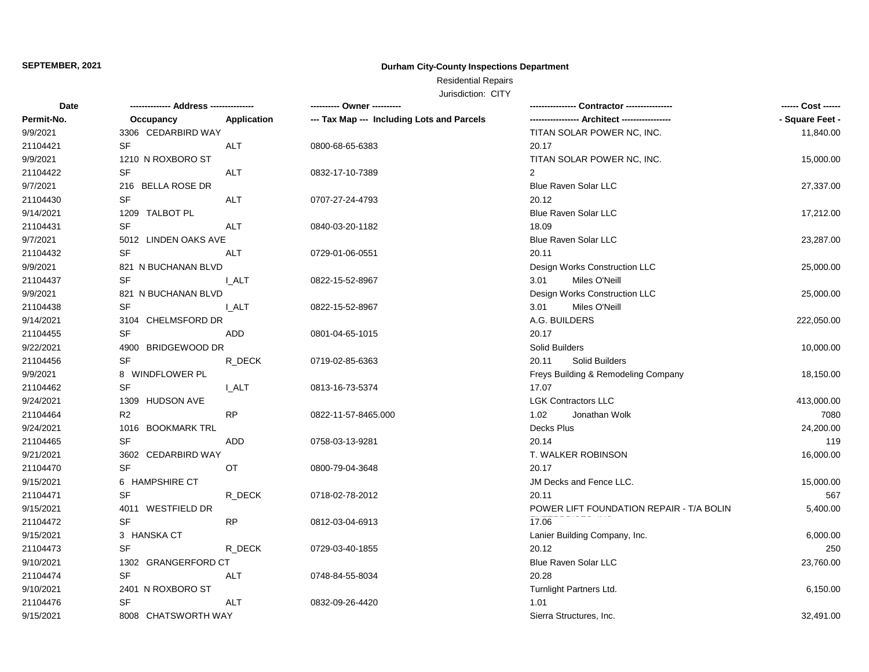## **Durham City-County Inspections Department**

# Residential Repairs

| <b>Date</b> |                      |             | ---------- Owner ----------                |                                          | ------ Cost ------ |
|-------------|----------------------|-------------|--------------------------------------------|------------------------------------------|--------------------|
| Permit-No.  | Occupancy            | Application | --- Tax Map --- Including Lots and Parcels |                                          | - Square Feet -    |
| 9/9/2021    | 3306 CEDARBIRD WAY   |             |                                            | TITAN SOLAR POWER NC, INC.               | 11,840.00          |
| 21104421    | <b>SF</b>            | ALT         | 0800-68-65-6383                            | 20.17                                    |                    |
| 9/9/2021    | 1210 N ROXBORO ST    |             |                                            | TITAN SOLAR POWER NC, INC.               | 15,000.00          |
| 21104422    | SF                   | ALT         | 0832-17-10-7389                            | 2                                        |                    |
| 9/7/2021    | 216 BELLA ROSE DR    |             |                                            | <b>Blue Raven Solar LLC</b>              | 27,337.00          |
| 21104430    | <b>SF</b>            | <b>ALT</b>  | 0707-27-24-4793                            | 20.12                                    |                    |
| 9/14/2021   | 1209 TALBOT PL       |             |                                            | <b>Blue Raven Solar LLC</b>              | 17,212.00          |
| 21104431    | <b>SF</b>            | <b>ALT</b>  | 0840-03-20-1182                            | 18.09                                    |                    |
| 9/7/2021    | 5012 LINDEN OAKS AVE |             |                                            | <b>Blue Raven Solar LLC</b>              | 23,287.00          |
| 21104432    | <b>SF</b>            | <b>ALT</b>  | 0729-01-06-0551                            | 20.11                                    |                    |
| 9/9/2021    | 821 N BUCHANAN BLVD  |             |                                            | Design Works Construction LLC            | 25,000.00          |
| 21104437    | <b>SF</b>            | I ALT       | 0822-15-52-8967                            | 3.01<br>Miles O'Neill                    |                    |
| 9/9/2021    | 821 N BUCHANAN BLVD  |             |                                            | Design Works Construction LLC            | 25,000.00          |
| 21104438    | <b>SF</b>            | I ALT       | 0822-15-52-8967                            | Miles O'Neill<br>3.01                    |                    |
| 9/14/2021   | 3104 CHELMSFORD DR   |             |                                            | A.G. BUILDERS                            | 222,050.00         |
| 21104455    | SF                   | ADD         | 0801-04-65-1015                            | 20.17                                    |                    |
| 9/22/2021   | 4900 BRIDGEWOOD DR   |             |                                            | Solid Builders                           | 10,000.00          |
| 21104456    | <b>SF</b>            | R DECK      | 0719-02-85-6363                            | Solid Builders<br>20.11                  |                    |
| 9/9/2021    | 8 WINDFLOWER PL      |             |                                            | Freys Building & Remodeling Company      | 18,150.00          |
| 21104462    | <b>SF</b>            | I ALT       | 0813-16-73-5374                            | 17.07                                    |                    |
| 9/24/2021   | 1309 HUDSON AVE      |             |                                            | <b>LGK Contractors LLC</b>               | 413,000.00         |
| 21104464    | R <sub>2</sub>       | <b>RP</b>   | 0822-11-57-8465.000                        | 1.02<br>Jonathan Wolk                    | 7080               |
| 9/24/2021   | 1016 BOOKMARK TRL    |             |                                            | Decks Plus                               | 24,200.00          |
| 21104465    | <b>SF</b>            | ADD         | 0758-03-13-9281                            | 20.14                                    | 119                |
| 9/21/2021   | 3602 CEDARBIRD WAY   |             |                                            | T. WALKER ROBINSON                       | 16,000.00          |
| 21104470    | <b>SF</b>            | ОT          | 0800-79-04-3648                            | 20.17                                    |                    |
| 9/15/2021   | 6 HAMPSHIRE CT       |             |                                            | JM Decks and Fence LLC.                  | 15,000.00          |
| 21104471    | <b>SF</b>            | R_DECK      | 0718-02-78-2012                            | 20.11                                    | 567                |
| 9/15/2021   | 4011 WESTFIELD DR    |             |                                            | POWER LIFT FOUNDATION REPAIR - T/A BOLIN | 5,400.00           |
| 21104472    | <b>SF</b>            | <b>RP</b>   | 0812-03-04-6913                            | 17.06                                    |                    |
| 9/15/2021   | 3 HANSKA CT          |             |                                            | Lanier Building Company, Inc.            | 6,000.00           |
| 21104473    | <b>SF</b>            | R DECK      | 0729-03-40-1855                            | 20.12                                    | 250                |
| 9/10/2021   | 1302 GRANGERFORD CT  |             |                                            | Blue Raven Solar LLC                     | 23,760.00          |
| 21104474    | <b>SF</b>            | ALT         | 0748-84-55-8034                            | 20.28                                    |                    |
| 9/10/2021   | 2401 N ROXBORO ST    |             |                                            | Turnlight Partners Ltd.                  | 6,150.00           |
| 21104476    | SF                   | ALT         | 0832-09-26-4420                            | 1.01                                     |                    |
| 9/15/2021   | 8008 CHATSWORTH WAY  |             |                                            | Sierra Structures, Inc.                  | 32,491.00          |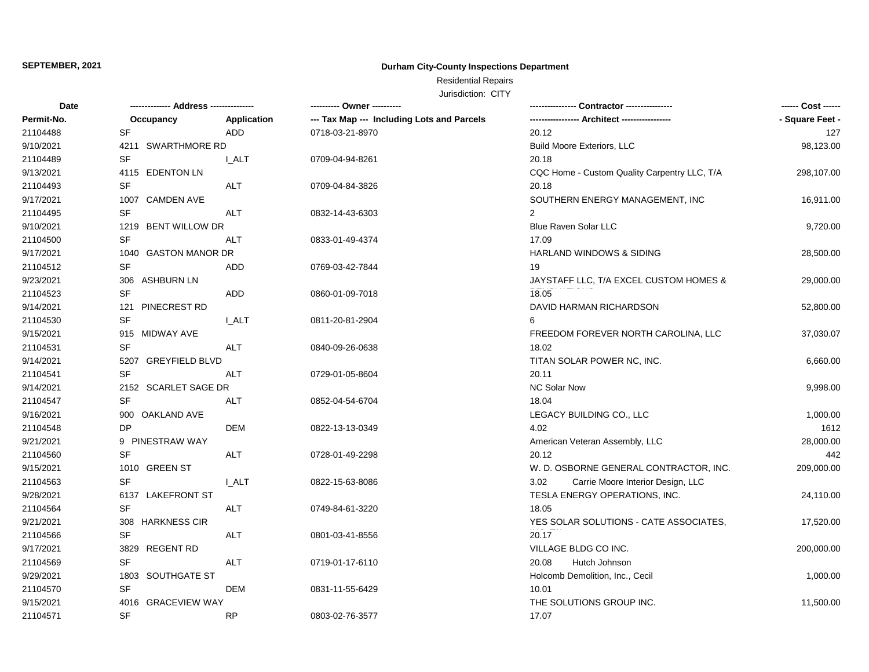## **Durham City-County Inspections Department**

Residential Repairs

| <b>Date</b> | -------------- Address -------------- |              | ---------- Owner ----------                |                                              | ------ Cost ------ |
|-------------|---------------------------------------|--------------|--------------------------------------------|----------------------------------------------|--------------------|
| Permit-No.  | Occupancy                             | Application  | --- Tax Map --- Including Lots and Parcels |                                              | - Square Feet -    |
| 21104488    | SF                                    | ADD.         | 0718-03-21-8970                            | 20.12                                        | 127                |
| 9/10/2021   | 4211 SWARTHMORE RD                    |              |                                            | <b>Build Moore Exteriors, LLC</b>            | 98,123.00          |
| 21104489    | <b>SF</b>                             | I ALT        | 0709-04-94-8261                            | 20.18                                        |                    |
| 9/13/2021   | 4115 EDENTON LN                       |              |                                            | CQC Home - Custom Quality Carpentry LLC, T/A | 298,107.00         |
| 21104493    | <b>SF</b>                             | <b>ALT</b>   | 0709-04-84-3826                            | 20.18                                        |                    |
| 9/17/2021   | 1007 CAMDEN AVE                       |              |                                            | SOUTHERN ENERGY MANAGEMENT, INC              | 16,911.00          |
| 21104495    | <b>SF</b>                             | ALT          | 0832-14-43-6303                            | 2                                            |                    |
| 9/10/2021   | 1219 BENT WILLOW DR                   |              |                                            | Blue Raven Solar LLC                         | 9,720.00           |
| 21104500    | <b>SF</b>                             | ALT          | 0833-01-49-4374                            | 17.09                                        |                    |
| 9/17/2021   | 1040 GASTON MANOR DR                  |              |                                            | HARLAND WINDOWS & SIDING                     | 28,500.00          |
| 21104512    | <b>SF</b>                             | ADD          | 0769-03-42-7844                            | 19                                           |                    |
| 9/23/2021   | 306 ASHBURN LN                        |              |                                            | JAYSTAFF LLC, T/A EXCEL CUSTOM HOMES &       | 29,000.00          |
| 21104523    | <b>SF</b>                             | ADD          | 0860-01-09-7018                            | 18.05                                        |                    |
| 9/14/2021   | 121 PINECREST RD                      |              |                                            | DAVID HARMAN RICHARDSON                      | 52,800.00          |
| 21104530    | <b>SF</b>                             | I ALT        | 0811-20-81-2904                            |                                              |                    |
| 9/15/2021   | 915 MIDWAY AVE                        |              |                                            | FREEDOM FOREVER NORTH CAROLINA, LLC          | 37,030.07          |
| 21104531    | <b>SF</b>                             | ALT          | 0840-09-26-0638                            | 18.02                                        |                    |
| 9/14/2021   | 5207 GREYFIELD BLVD                   |              |                                            | TITAN SOLAR POWER NC, INC.                   | 6,660.00           |
| 21104541    | <b>SF</b>                             | ALT          | 0729-01-05-8604                            | 20.11                                        |                    |
| 9/14/2021   | 2152 SCARLET SAGE DR                  |              |                                            | <b>NC Solar Now</b>                          | 9,998.00           |
| 21104547    | <b>SF</b>                             | <b>ALT</b>   | 0852-04-54-6704                            | 18.04                                        |                    |
| 9/16/2021   | 900 OAKLAND AVE                       |              |                                            | LEGACY BUILDING CO., LLC                     | 1,000.00           |
| 21104548    | DP                                    | DEM          | 0822-13-13-0349                            | 4.02                                         | 1612               |
| 9/21/2021   | 9 PINESTRAW WAY                       |              |                                            | American Veteran Assembly, LLC               | 28,000.00          |
| 21104560    | <b>SF</b>                             | ALT          | 0728-01-49-2298                            | 20.12                                        | 442                |
| 9/15/2021   | 1010 GREEN ST                         |              |                                            | W. D. OSBORNE GENERAL CONTRACTOR, INC.       | 209,000.00         |
| 21104563    | <b>SF</b>                             | <b>I_ALT</b> | 0822-15-63-8086                            | Carrie Moore Interior Design, LLC<br>3.02    |                    |
| 9/28/2021   | 6137 LAKEFRONT ST                     |              |                                            | TESLA ENERGY OPERATIONS, INC.                | 24,110.00          |
| 21104564    | <b>SF</b>                             | <b>ALT</b>   | 0749-84-61-3220                            | 18.05                                        |                    |
| 9/21/2021   | <b>HARKNESS CIR</b><br>308            |              |                                            | YES SOLAR SOLUTIONS - CATE ASSOCIATES,       | 17,520.00          |
| 21104566    | <b>SF</b>                             | ALT          | 0801-03-41-8556                            | 20.17                                        |                    |
| 9/17/2021   | 3829 REGENT RD                        |              |                                            | VILLAGE BLDG CO INC.                         | 200,000.00         |
| 21104569    | <b>SF</b>                             | <b>ALT</b>   | 0719-01-17-6110                            | Hutch Johnson<br>20.08                       |                    |
| 9/29/2021   | 1803 SOUTHGATE ST                     |              |                                            | Holcomb Demolition, Inc., Cecil              | 1,000.00           |
| 21104570    | <b>SF</b>                             | <b>DEM</b>   | 0831-11-55-6429                            | 10.01                                        |                    |
| 9/15/2021   | 4016 GRACEVIEW WAY                    |              |                                            | THE SOLUTIONS GROUP INC.                     | 11,500.00          |
| 21104571    | <b>SF</b>                             | <b>RP</b>    | 0803-02-76-3577                            | 17.07                                        |                    |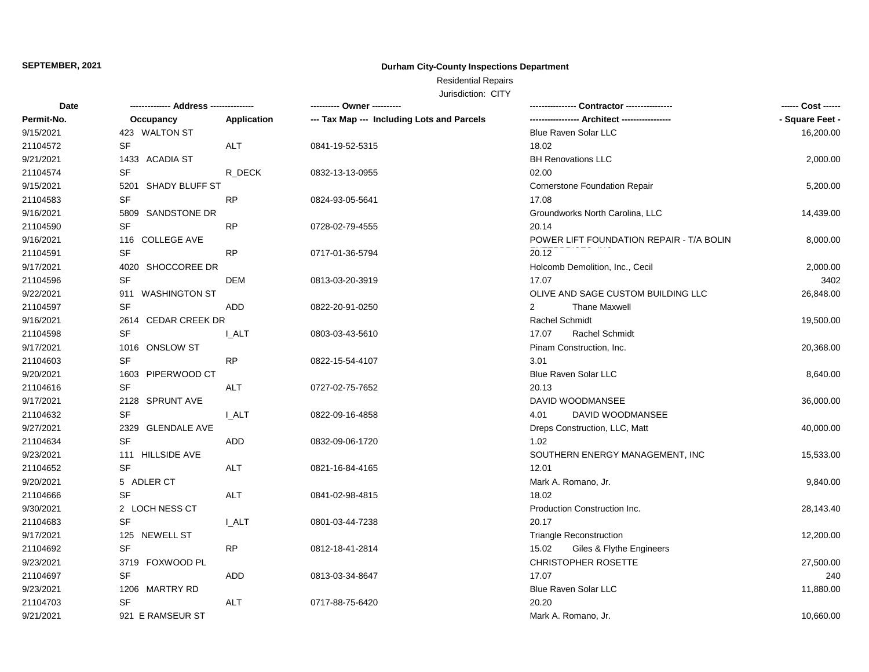## **Durham City-County Inspections Department**

# Residential Repairs

| Date       |                     |              | ---------- Owner ----------                |                                          | ------ Cost ------ |
|------------|---------------------|--------------|--------------------------------------------|------------------------------------------|--------------------|
| Permit-No. | Occupancy           | Application  | --- Tax Map --- Including Lots and Parcels |                                          | - Square Feet -    |
| 9/15/2021  | 423 WALTON ST       |              |                                            | Blue Raven Solar LLC                     | 16,200.00          |
| 21104572   | <b>SF</b>           | ALT          | 0841-19-52-5315                            | 18.02                                    |                    |
| 9/21/2021  | 1433 ACADIA ST      |              |                                            | <b>BH Renovations LLC</b>                | 2,000.00           |
| 21104574   | <b>SF</b>           | R DECK       | 0832-13-13-0955                            | 02.00                                    |                    |
| 9/15/2021  | 5201 SHADY BLUFF ST |              |                                            | <b>Cornerstone Foundation Repair</b>     | 5,200.00           |
| 21104583   | SF                  | <b>RP</b>    | 0824-93-05-5641                            | 17.08                                    |                    |
| 9/16/2021  | 5809 SANDSTONE DR   |              |                                            | Groundworks North Carolina, LLC          | 14,439.00          |
| 21104590   | <b>SF</b>           | <b>RP</b>    | 0728-02-79-4555                            | 20.14                                    |                    |
| 9/16/2021  | 116 COLLEGE AVE     |              |                                            | POWER LIFT FOUNDATION REPAIR - T/A BOLIN | 8,000.00           |
| 21104591   | SF                  | <b>RP</b>    | 0717-01-36-5794                            | 20.12                                    |                    |
| 9/17/2021  | 4020 SHOCCOREE DR   |              |                                            | Holcomb Demolition, Inc., Cecil          | 2,000.00           |
| 21104596   | <b>SF</b>           | <b>DEM</b>   | 0813-03-20-3919                            | 17.07                                    | 3402               |
| 9/22/2021  | 911 WASHINGTON ST   |              |                                            | OLIVE AND SAGE CUSTOM BUILDING LLC       | 26,848.00          |
| 21104597   | <b>SF</b>           | ADD          | 0822-20-91-0250                            | <b>Thane Maxwell</b><br>$\overline{2}$   |                    |
| 9/16/2021  | 2614 CEDAR CREEK DR |              |                                            | Rachel Schmidt                           | 19,500.00          |
| 21104598   | <b>SF</b>           | I ALT        | 0803-03-43-5610                            | 17.07<br><b>Rachel Schmidt</b>           |                    |
| 9/17/2021  | 1016 ONSLOW ST      |              |                                            | Pinam Construction, Inc.                 | 20,368.00          |
| 21104603   | <b>SF</b>           | <b>RP</b>    | 0822-15-54-4107                            | 3.01                                     |                    |
| 9/20/2021  | 1603 PIPERWOOD CT   |              |                                            | <b>Blue Raven Solar LLC</b>              | 8,640.00           |
| 21104616   | <b>SF</b>           | ALT          | 0727-02-75-7652                            | 20.13                                    |                    |
| 9/17/2021  | 2128 SPRUNT AVE     |              |                                            | DAVID WOODMANSEE                         | 36,000.00          |
| 21104632   | <b>SF</b>           | I ALT        | 0822-09-16-4858                            | DAVID WOODMANSEE<br>4.01                 |                    |
| 9/27/2021  | 2329 GLENDALE AVE   |              |                                            | Dreps Construction, LLC, Matt            | 40,000.00          |
| 21104634   | <b>SF</b>           | ADD          | 0832-09-06-1720                            | 1.02                                     |                    |
| 9/23/2021  | 111 HILLSIDE AVE    |              |                                            | SOUTHERN ENERGY MANAGEMENT, INC          | 15,533.00          |
| 21104652   | <b>SF</b>           | <b>ALT</b>   | 0821-16-84-4165                            | 12.01                                    |                    |
| 9/20/2021  | 5 ADLER CT          |              |                                            | Mark A. Romano, Jr.                      | 9,840.00           |
| 21104666   | <b>SF</b>           | <b>ALT</b>   | 0841-02-98-4815                            | 18.02                                    |                    |
| 9/30/2021  | 2 LOCH NESS CT      |              |                                            | Production Construction Inc.             | 28,143.40          |
| 21104683   | <b>SF</b>           | <b>I_ALT</b> | 0801-03-44-7238                            | 20.17                                    |                    |
| 9/17/2021  | 125 NEWELL ST       |              |                                            | <b>Triangle Reconstruction</b>           | 12,200.00          |
| 21104692   | <b>SF</b>           | <b>RP</b>    | 0812-18-41-2814                            | 15.02<br>Giles & Flythe Engineers        |                    |
| 9/23/2021  | 3719 FOXWOOD PL     |              |                                            | CHRISTOPHER ROSETTE                      | 27,500.00          |
| 21104697   | <b>SF</b>           | ADD          | 0813-03-34-8647                            | 17.07                                    | 240                |
| 9/23/2021  | 1206 MARTRY RD      |              |                                            | Blue Raven Solar LLC                     | 11,880.00          |
| 21104703   | <b>SF</b>           | ALT          | 0717-88-75-6420                            | 20.20                                    |                    |
| 9/21/2021  | 921 E RAMSEUR ST    |              |                                            | Mark A. Romano, Jr.                      | 10,660.00          |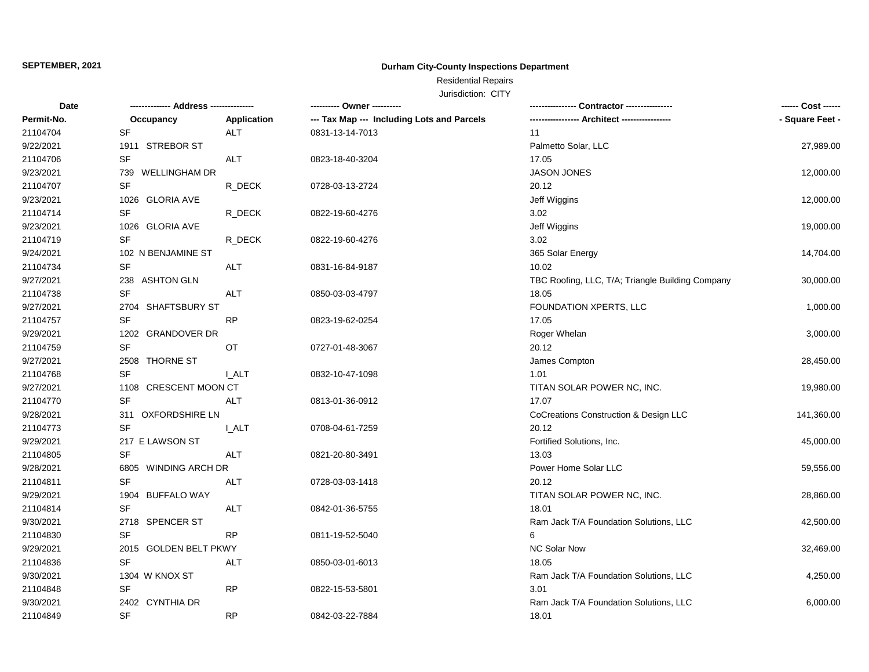## **Durham City-County Inspections Department**

# Residential Repairs

| <b>Date</b> |                                |              | ---------- Owner ----------                |                                                  | ------ Cost ------ |
|-------------|--------------------------------|--------------|--------------------------------------------|--------------------------------------------------|--------------------|
| Permit-No.  | Occupancy                      | Application  | --- Tax Map --- Including Lots and Parcels |                                                  | - Square Feet -    |
| 21104704    | <b>SF</b>                      | <b>ALT</b>   | 0831-13-14-7013                            | 11                                               |                    |
| 9/22/2021   | 1911 STREBOR ST                |              |                                            | Palmetto Solar, LLC                              | 27,989.00          |
| 21104706    | <b>SF</b>                      | <b>ALT</b>   | 0823-18-40-3204                            | 17.05                                            |                    |
| 9/23/2021   | 739 WELLINGHAM DR              |              |                                            | <b>JASON JONES</b>                               | 12,000.00          |
| 21104707    | <b>SF</b>                      | R_DECK       | 0728-03-13-2724                            | 20.12                                            |                    |
| 9/23/2021   | 1026 GLORIA AVE                |              |                                            | Jeff Wiggins                                     | 12,000.00          |
| 21104714    | <b>SF</b>                      | R_DECK       | 0822-19-60-4276                            | 3.02                                             |                    |
| 9/23/2021   | 1026 GLORIA AVE                |              |                                            | Jeff Wiggins                                     | 19,000.00          |
| 21104719    | <b>SF</b>                      | R_DECK       | 0822-19-60-4276                            | 3.02                                             |                    |
| 9/24/2021   | 102 N BENJAMINE ST             |              |                                            | 365 Solar Energy                                 | 14,704.00          |
| 21104734    | <b>SF</b>                      | ALT          | 0831-16-84-9187                            | 10.02                                            |                    |
| 9/27/2021   | 238 ASHTON GLN                 |              |                                            | TBC Roofing, LLC, T/A; Triangle Building Company | 30,000.00          |
| 21104738    | <b>SF</b>                      | <b>ALT</b>   | 0850-03-03-4797                            | 18.05                                            |                    |
| 9/27/2021   | 2704 SHAFTSBURY ST             |              |                                            | FOUNDATION XPERTS, LLC                           | 1,000.00           |
| 21104757    | <b>SF</b>                      | <b>RP</b>    | 0823-19-62-0254                            | 17.05                                            |                    |
| 9/29/2021   | 1202 GRANDOVER DR              |              |                                            | Roger Whelan                                     | 3,000.00           |
| 21104759    | <b>SF</b>                      | OT           | 0727-01-48-3067                            | 20.12                                            |                    |
| 9/27/2021   | 2508 THORNE ST                 |              |                                            | James Compton                                    | 28,450.00          |
| 21104768    | <b>SF</b>                      | <b>L_ALT</b> | 0832-10-47-1098                            | 1.01                                             |                    |
| 9/27/2021   | 1108 CRESCENT MOON CT          |              |                                            | TITAN SOLAR POWER NC, INC.                       | 19,980.00          |
| 21104770    | <b>SF</b>                      | <b>ALT</b>   | 0813-01-36-0912                            | 17.07                                            |                    |
| 9/28/2021   | 311 OXFORDSHIRE LN             |              |                                            | CoCreations Construction & Design LLC            | 141,360.00         |
| 21104773    | <b>SF</b>                      | <b>L_ALT</b> | 0708-04-61-7259                            | 20.12                                            |                    |
| 9/29/2021   | 217 E LAWSON ST                |              |                                            | Fortified Solutions, Inc.                        | 45,000.00          |
| 21104805    | <b>SF</b>                      | <b>ALT</b>   | 0821-20-80-3491                            | 13.03                                            |                    |
| 9/28/2021   | <b>WINDING ARCH DR</b><br>6805 |              |                                            | Power Home Solar LLC                             | 59,556.00          |
| 21104811    | <b>SF</b>                      | ALT          | 0728-03-03-1418                            | 20.12                                            |                    |
| 9/29/2021   | <b>BUFFALO WAY</b><br>1904     |              |                                            | TITAN SOLAR POWER NC, INC.                       | 28,860.00          |
| 21104814    | <b>SF</b>                      | <b>ALT</b>   | 0842-01-36-5755                            | 18.01                                            |                    |
| 9/30/2021   | 2718 SPENCER ST                |              |                                            | Ram Jack T/A Foundation Solutions, LLC           | 42,500.00          |
| 21104830    | <b>SF</b>                      | <b>RP</b>    | 0811-19-52-5040                            | 6                                                |                    |
| 9/29/2021   | 2015 GOLDEN BELT PKWY          |              |                                            | <b>NC Solar Now</b>                              | 32,469.00          |
| 21104836    | <b>SF</b>                      | <b>ALT</b>   | 0850-03-01-6013                            | 18.05                                            |                    |
| 9/30/2021   | 1304 W KNOX ST                 |              |                                            | Ram Jack T/A Foundation Solutions, LLC           | 4,250.00           |
| 21104848    | <b>SF</b>                      | <b>RP</b>    | 0822-15-53-5801                            | 3.01                                             |                    |
| 9/30/2021   | 2402 CYNTHIA DR                |              |                                            | Ram Jack T/A Foundation Solutions, LLC           | 6,000.00           |
| 21104849    | <b>SF</b>                      | <b>RP</b>    | 0842-03-22-7884                            | 18.01                                            |                    |